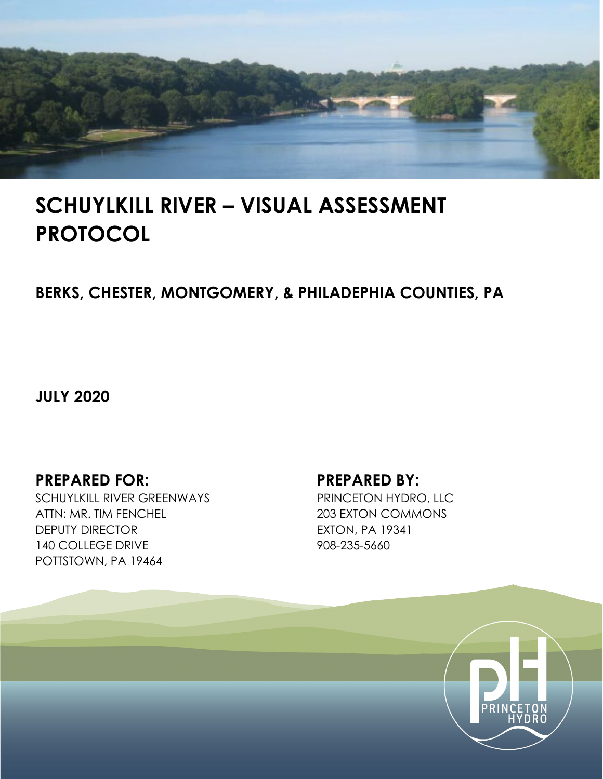

# **SCHUYLKILL RIVER – VISUAL ASSESSMENT PROTOCOL**

### **BERKS, CHESTER, MONTGOMERY, & PHILADEPHIA COUNTIES, PA**

**JULY 2020**

### **PREPARED FOR: PREPARED BY:**

SCHUYLKILL RIVER GREENWAYS ATTN: MR. TIM FENCHEL DEPUTY DIRECTOR 140 COLLEGE DRIVE POTTSTOWN, PA 19464

PRINCETON HYDRO, LLC 203 EXTON COMMONS EXTON, PA 19341 908-235-5660

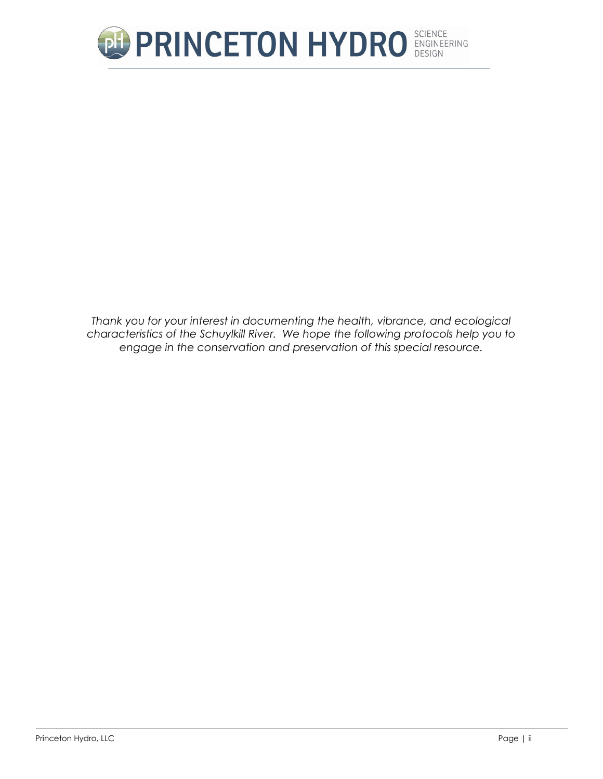

*Thank you for your interest in documenting the health, vibrance, and ecological characteristics of the Schuylkill River. We hope the following protocols help you to engage in the conservation and preservation of this special resource.*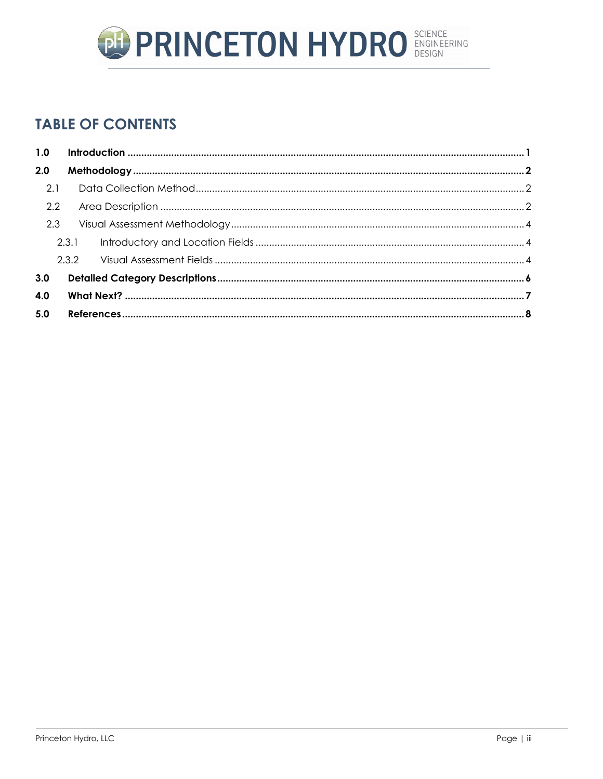

### **TABLE OF CONTENTS**

| 1.0 |       |  |  |
|-----|-------|--|--|
| 2.0 |       |  |  |
| 2.1 |       |  |  |
| 2.2 |       |  |  |
| 2.3 |       |  |  |
|     | 2.3.1 |  |  |
|     |       |  |  |
| 3.0 |       |  |  |
| 4.0 |       |  |  |
| 5.0 |       |  |  |
|     |       |  |  |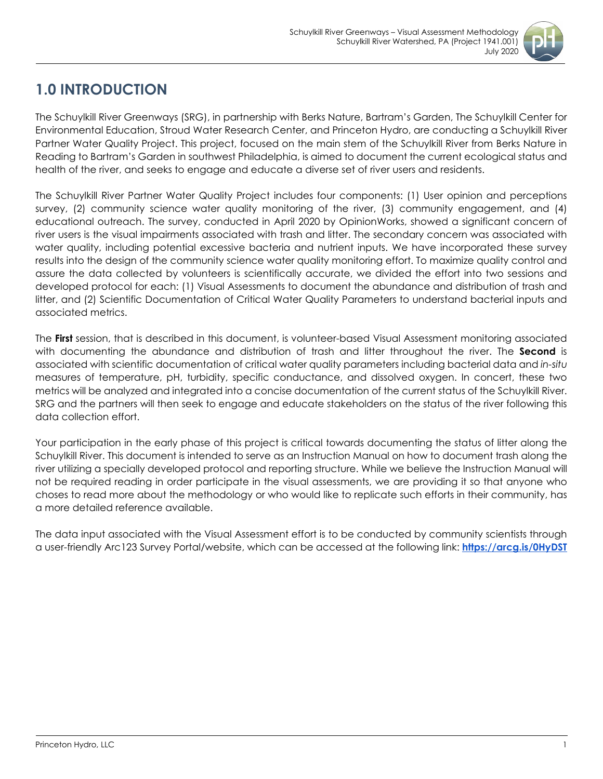

### <span id="page-3-0"></span>**1.0 INTRODUCTION**

The Schuylkill River Greenways (SRG), in partnership with Berks Nature, Bartram's Garden, The Schuylkill Center for Environmental Education, Stroud Water Research Center, and Princeton Hydro, are conducting a Schuylkill River Partner Water Quality Project. This project, focused on the main stem of the Schuylkill River from Berks Nature in Reading to Bartram's Garden in southwest Philadelphia, is aimed to document the current ecological status and health of the river, and seeks to engage and educate a diverse set of river users and residents.

The Schuylkill River Partner Water Quality Project includes four components: (1) User opinion and perceptions survey, (2) community science water quality monitoring of the river, (3) community engagement, and (4) educational outreach. The survey, conducted in April 2020 by OpinionWorks, showed a significant concern of river users is the visual impairments associated with trash and litter. The secondary concern was associated with water quality, including potential excessive bacteria and nutrient inputs. We have incorporated these survey results into the design of the community science water quality monitoring effort. To maximize quality control and assure the data collected by volunteers is scientifically accurate, we divided the effort into two sessions and developed protocol for each: (1) Visual Assessments to document the abundance and distribution of trash and litter, and (2) Scientific Documentation of Critical Water Quality Parameters to understand bacterial inputs and associated metrics.

The **First** session, that is described in this document, is volunteer-based Visual Assessment monitoring associated with documenting the abundance and distribution of trash and litter throughout the river. The **Second** is associated with scientific documentation of critical water quality parameters including bacterial data and *in-situ* measures of temperature, pH, turbidity, specific conductance, and dissolved oxygen. In concert, these two metrics will be analyzed and integrated into a concise documentation of the current status of the Schuylkill River. SRG and the partners will then seek to engage and educate stakeholders on the status of the river following this data collection effort.

Your participation in the early phase of this project is critical towards documenting the status of litter along the Schuylkill River. This document is intended to serve as an Instruction Manual on how to document trash along the river utilizing a specially developed protocol and reporting structure. While we believe the Instruction Manual will not be required reading in order participate in the visual assessments, we are providing it so that anyone who choses to read more about the methodology or who would like to replicate such efforts in their community, has a more detailed reference available.

The data input associated with the Visual Assessment effort is to be conducted by community scientists through a user-friendly Arc123 Survey Portal/website, which can be accessed at the following link: **[https://arcg.is/0HyDST](https://www.google.com/url?q=https://arcg.is/0HyDST&sa=D&source=hangouts&ust=1590263803076000&usg=AFQjCNHxZUFG8zhjMOl1qC-gjWLVjSabfA)**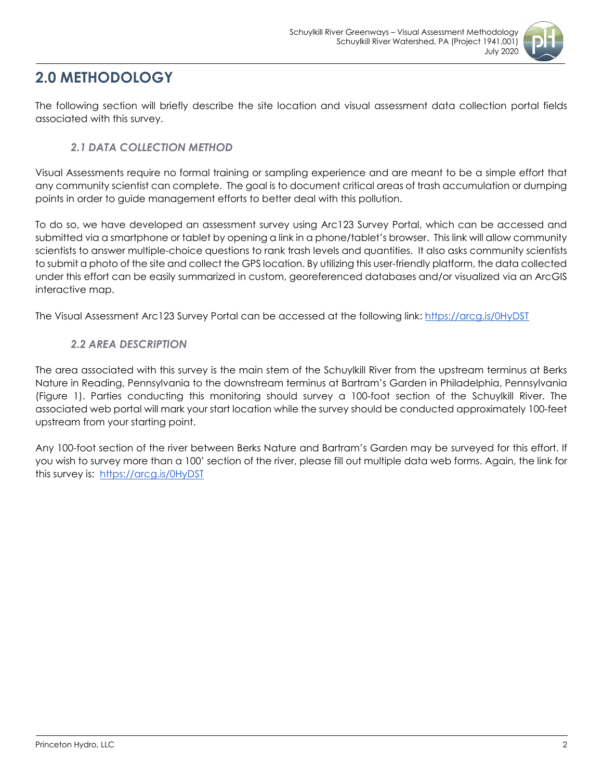

### <span id="page-4-0"></span>**2.0 METHODOLOGY**

The following section will briefly describe the site location and visual assessment data collection portal fields associated with this survey.

#### *2.1 DATA COLLECTION METHOD*

<span id="page-4-1"></span>Visual Assessments require no formal training or sampling experience and are meant to be a simple effort that any community scientist can complete. The goal is to document critical areas of trash accumulation or dumping points in order to guide management efforts to better deal with this pollution.

To do so, we have developed an assessment survey using Arc123 Survey Portal, which can be accessed and submitted via a smartphone or tablet by opening a link in a phone/tablet's browser. This link will allow community scientists to answer multiple-choice questions to rank trash levels and quantities. It also asks community scientists to submit a photo of the site and collect the GPS location. By utilizing this user-friendly platform, the data collected under this effort can be easily summarized in custom, georeferenced databases and/or visualized via an ArcGIS interactive map.

<span id="page-4-2"></span>The Visual Assessment Arc123 Survey Portal can be accessed at the following link: [https://arcg.is/0HyDST](https://www.google.com/url?q=https://arcg.is/0HyDST&sa=D&source=hangouts&ust=1590263803076000&usg=AFQjCNHxZUFG8zhjMOl1qC-gjWLVjSabfA)

#### *2.2 AREA DESCRIPTION*

The area associated with this survey is the main stem of the Schuylkill River from the upstream terminus at Berks Nature in Reading, Pennsylvania to the downstream terminus at Bartram's Garden in Philadelphia, Pennsylvania (Figure 1). Parties conducting this monitoring should survey a 100-foot section of the Schuylkill River. The associated web portal will mark your start location while the survey should be conducted approximately 100-feet upstream from your starting point.

Any 100-foot section of the river between Berks Nature and Bartram's Garden may be surveyed for this effort. If you wish to survey more than a 100' section of the river, please fill out multiple data web forms. Again, the link for this survey is: [https://arcg.is/0HyDST](https://www.google.com/url?q=https://arcg.is/0HyDST&sa=D&source=hangouts&ust=1590263803076000&usg=AFQjCNHxZUFG8zhjMOl1qC-gjWLVjSabfA)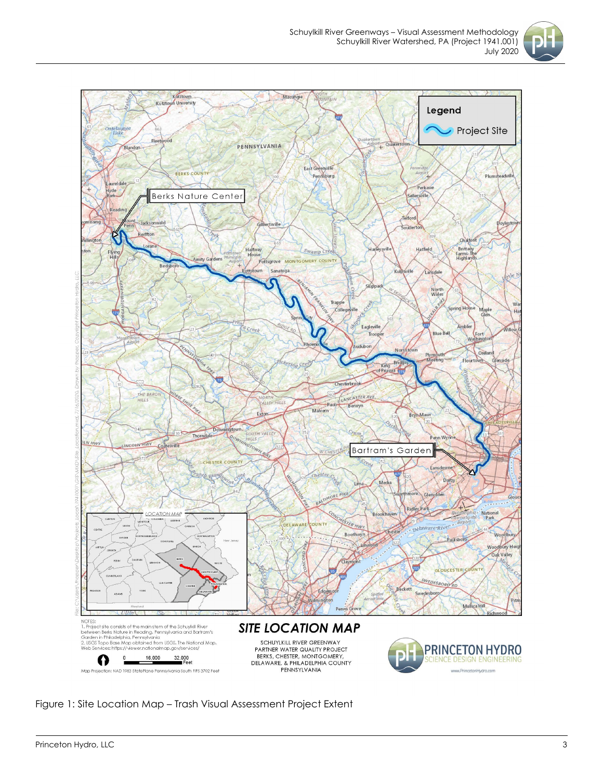



Figure 1: Site Location Map – Trash Visual Assessment Project Extent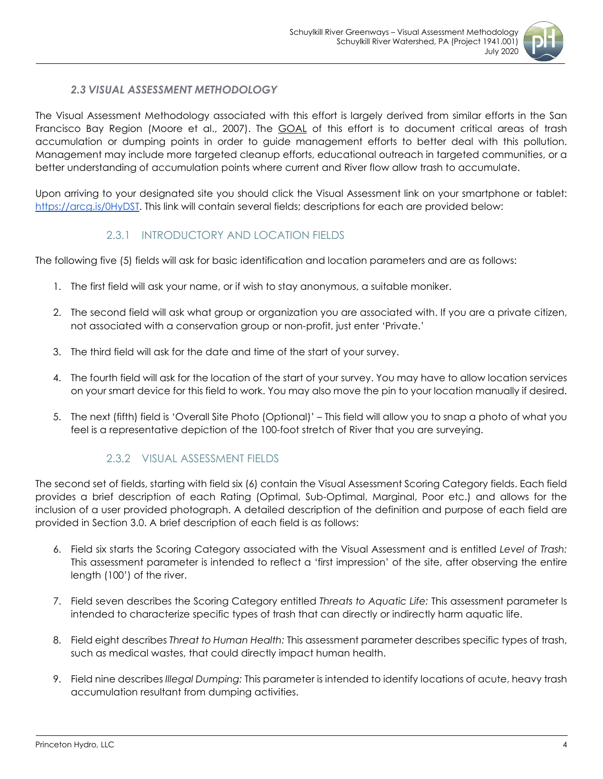

#### *2.3 VISUAL ASSESSMENT METHODOLOGY*

<span id="page-6-0"></span>The Visual Assessment Methodology associated with this effort is largely derived from similar efforts in the San Francisco Bay Region (Moore et al., 2007). The **GOAL** of this effort is to document critical areas of trash accumulation or dumping points in order to guide management efforts to better deal with this pollution. Management may include more targeted cleanup efforts, educational outreach in targeted communities, or a better understanding of accumulation points where current and River flow allow trash to accumulate.

Upon arriving to your designated site you should click the Visual Assessment link on your smartphone or tablet: [https://arcg.is/0HyDST.](https://www.google.com/url?q=https://arcg.is/0HyDST&sa=D&source=hangouts&ust=1590263803076000&usg=AFQjCNHxZUFG8zhjMOl1qC-gjWLVjSabfA) This link will contain several fields; descriptions for each are provided below:

#### 2.3.1 INTRODUCTORY AND LOCATION FIELDS

<span id="page-6-1"></span>The following five (5) fields will ask for basic identification and location parameters and are as follows:

- 1. The first field will ask your name, or if wish to stay anonymous, a suitable moniker.
- 2. The second field will ask what group or organization you are associated with. If you are a private citizen, not associated with a conservation group or non-profit, just enter 'Private.'
- 3. The third field will ask for the date and time of the start of your survey.
- 4. The fourth field will ask for the location of the start of your survey. You may have to allow location services on your smart device for this field to work. You may also move the pin to your location manually if desired.
- 5. The next (fifth) field is 'Overall Site Photo (Optional)' This field will allow you to snap a photo of what you feel is a representative depiction of the 100-foot stretch of River that you are surveying.

#### 2.3.2 VISUAL ASSESSMENT FIELDS

<span id="page-6-2"></span>The second set of fields, starting with field six (6) contain the Visual Assessment Scoring Category fields. Each field provides a brief description of each Rating (Optimal, Sub-Optimal, Marginal, Poor etc.) and allows for the inclusion of a user provided photograph. A detailed description of the definition and purpose of each field are provided in Section 3.0. A brief description of each field is as follows:

- 6. Field six starts the Scoring Category associated with the Visual Assessment and is entitled *Level of Trash:*  This assessment parameter is intended to reflect a 'first impression' of the site, after observing the entire length (100') of the river.
- 7. Field seven describes the Scoring Category entitled *Threats to Aquatic Life:* This assessment parameter Is intended to characterize specific types of trash that can directly or indirectly harm aquatic life.
- 8. Field eight describes *Threat to Human Health:* This assessment parameter describes specific types of trash, such as medical wastes, that could directly impact human health.
- 9. Field nine describes *Illegal Dumping:* This parameter is intended to identify locations of acute, heavy trash accumulation resultant from dumping activities.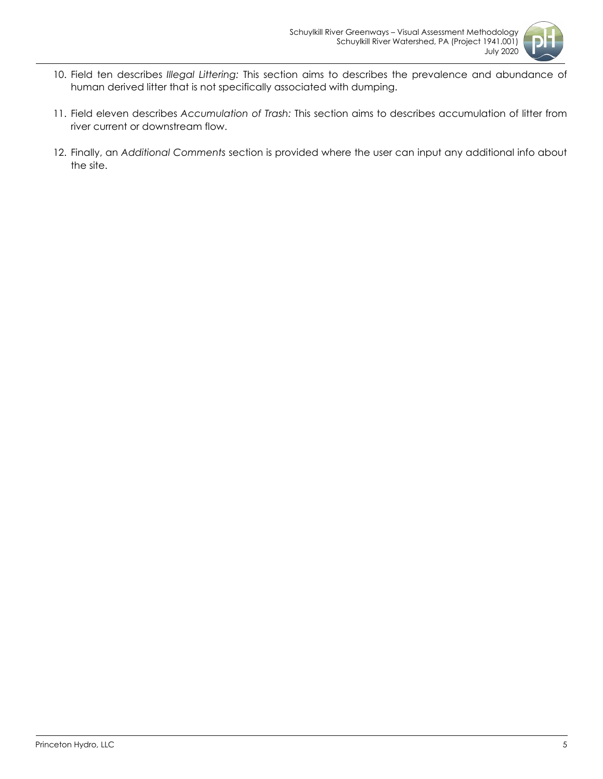

- 10. Field ten describes *Illegal Littering:* This section aims to describes the prevalence and abundance of human derived litter that is not specifically associated with dumping.
- 11. Field eleven describes *Accumulation of Trash:* This section aims to describes accumulation of litter from river current or downstream flow.
- 12. Finally, an *Additional Comments* section is provided where the user can input any additional info about the site.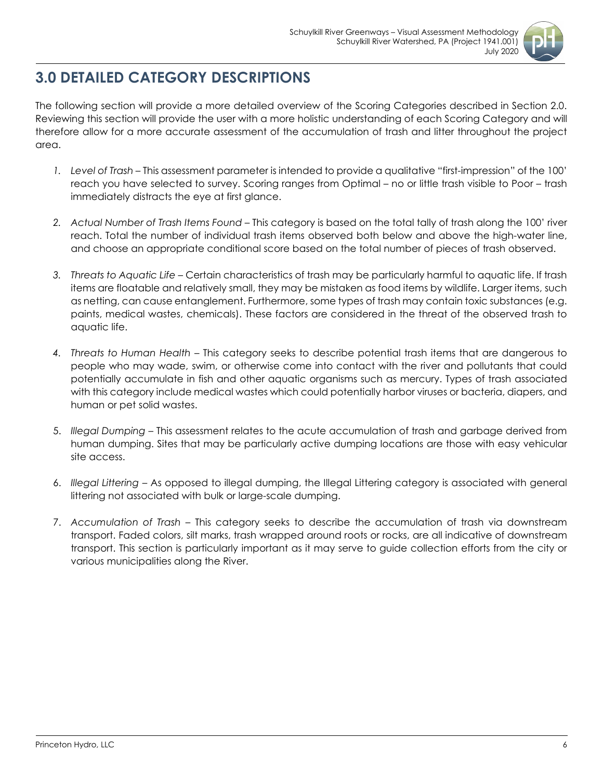

## <span id="page-8-0"></span>**3.0 DETAILED CATEGORY DESCRIPTIONS**

The following section will provide a more detailed overview of the Scoring Categories described in Section 2.0. Reviewing this section will provide the user with a more holistic understanding of each Scoring Category and will therefore allow for a more accurate assessment of the accumulation of trash and litter throughout the project area.

- *1. Level of Trash –* This assessment parameter is intended to provide a qualitative "first-impression" of the 100' reach you have selected to survey. Scoring ranges from Optimal – no or little trash visible to Poor – trash immediately distracts the eye at first glance.
- *2. Actual Number of Trash Items Found –* This category is based on the total tally of trash along the 100' river reach. Total the number of individual trash items observed both below and above the high-water line, and choose an appropriate conditional score based on the total number of pieces of trash observed.
- *3. Threats to Aquatic Life –* Certain characteristics of trash may be particularly harmful to aquatic life. If trash items are floatable and relatively small, they may be mistaken as food items by wildlife. Larger items, such as netting, can cause entanglement. Furthermore, some types of trash may contain toxic substances (e.g. paints, medical wastes, chemicals). These factors are considered in the threat of the observed trash to aquatic life.
- *4. Threats to Human Health –* This category seeks to describe potential trash items that are dangerous to people who may wade, swim, or otherwise come into contact with the river and pollutants that could potentially accumulate in fish and other aquatic organisms such as mercury. Types of trash associated with this category include medical wastes which could potentially harbor viruses or bacteria, diapers, and human or pet solid wastes.
- 5. *Illegal Dumping*  This assessment relates to the acute accumulation of trash and garbage derived from human dumping. Sites that may be particularly active dumping locations are those with easy vehicular site access.
- 6. *Illegal Littering –* As opposed to illegal dumping, the Illegal Littering category is associated with general littering not associated with bulk or large-scale dumping.
- 7. *Accumulation of Trash –* This category seeks to describe the accumulation of trash via downstream transport. Faded colors, silt marks, trash wrapped around roots or rocks, are all indicative of downstream transport. This section is particularly important as it may serve to guide collection efforts from the city or various municipalities along the River.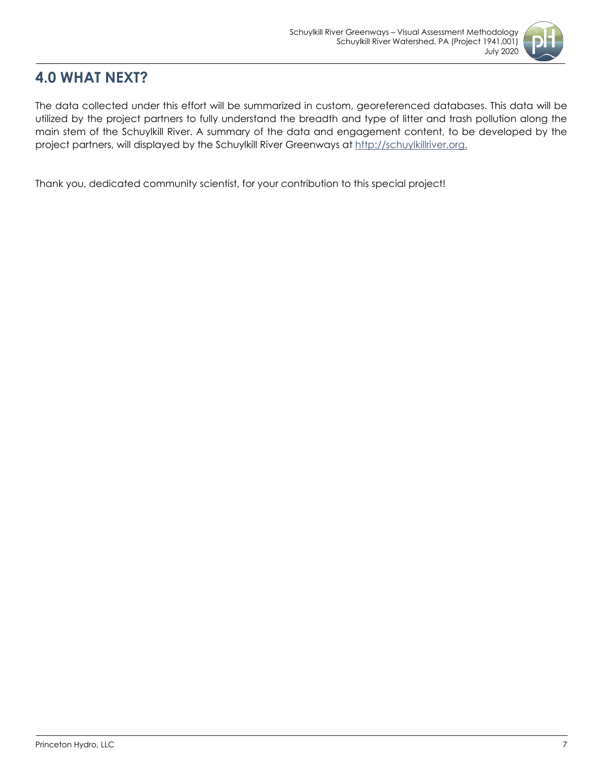

### <span id="page-9-0"></span>**4.0 WHAT NEXT?**

The data collected under this effort will be summarized in custom, georeferenced databases. This data will be utilized by the project partners to fully understand the breadth and type of litter and trash pollution along the main stem of the Schuylkill River. A summary of the data and engagement content, to be developed by the project partners, will displayed by the Schuylkill River Greenways at [http://schuylkillriver.org.](http://schuylkillriver.org/)

Thank you, dedicated community scientist, for your contribution to this special project!